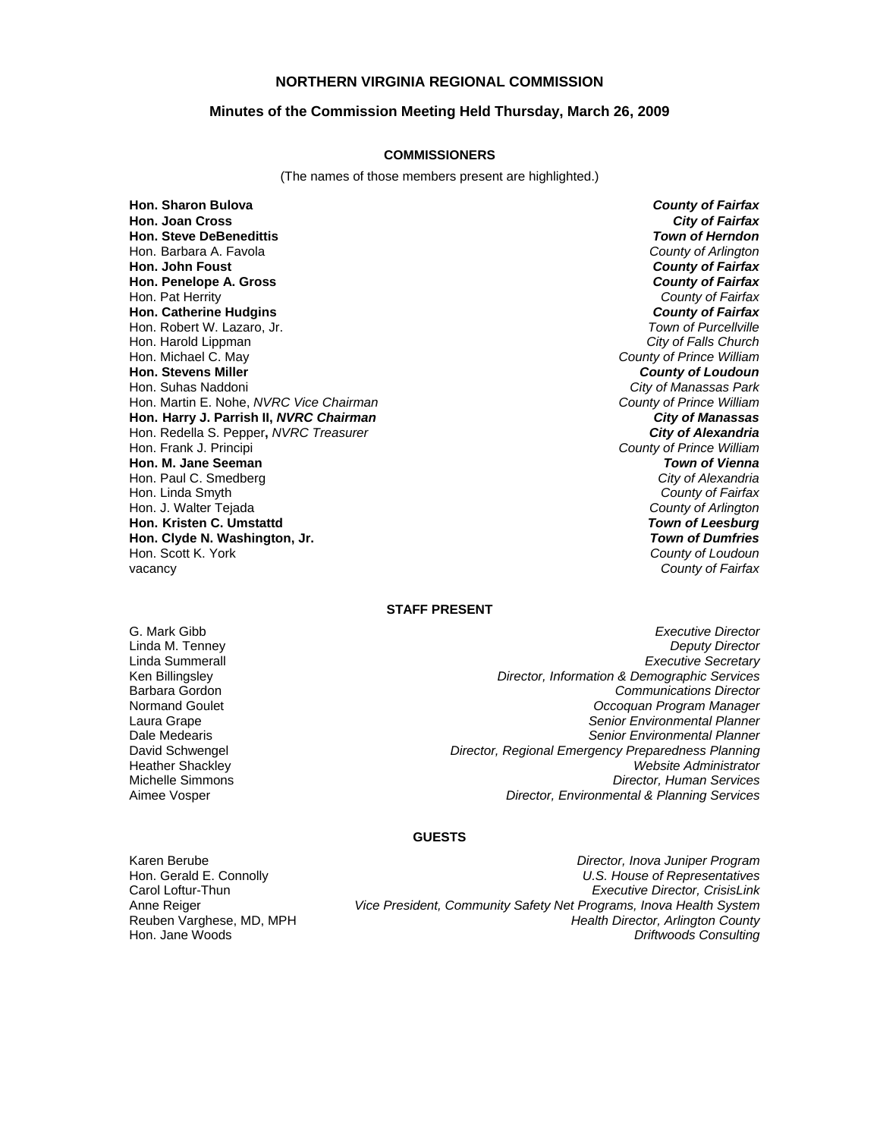### **NORTHERN VIRGINIA REGIONAL COMMISSION**

#### **Minutes of the Commission Meeting Held Thursday, March 26, 2009**

#### **COMMISSIONERS**

(The names of those members present are highlighted.)

**Hon. Sharon Bulova** *County of Fairfax* **Hon. Joan Cross** *City of Fairfax* **Hon. Steve DeBenedittis** Hon. Barbara A. Favola *County of Arlington* **Hon. John Foust** *County of Fairfax* **Hon. Penelope A. Gross** *County of Fairfax* Hon. Pat Herrity *County of Fairfax* **Hon. Catherine Hudgins** *County of Fairfax* Hon. Robert W. Lazaro, Jr. *Town of Purcellville* **Hon. Harold Lippman** Hon. Michael C. May *County of Prince William* **Hon. Stevens Miller** *County of Loudoun* Hon. Suhas Naddoni *City of Manassas Park* Hon. Martin E. Nohe, *NVRC Vice Chairman County of Prince William* **Hon. Harry J. Parrish II,** *NVRC Chairman City of Manassas* Hon. Redella S. Pepper**,** *NVRC Treasurer City of Alexandria* Hon. Frank J. Principi *County of Prince William* **Hon. M. Jane Seeman** *Town of Vienna* Hon. Paul C. Smedberg *City of Alexandria* Hon. Linda Smyth *County of Fairfax* Hon. J. Walter Tejada *County of Arlington* **Hon. Kristen C. Umstattd** *Town of Leesburg* **Hon. Clyde N. Washington, Jr.** *Town of Dumfries* Hon. Scott K. York *County of Loudoun* vacancy *County of Fairfax*

## **STAFF PRESENT**

G. Mark Gibb *Executive Director* Linda M. Tenney *Deputy Director* Linda Summerall *Executive Secretary* Ken Billingsley *Director, Information & Demographic Services* Barbara Gordon *Communications Director* Normand Goulet *Occoquan Program Manager* Laura Grape *Senior Environmental Planner* Dale Medearis *Senior Environmental Planner* David Schwengel *Director, Regional Emergency Preparedness Planning* Heather Shackley *Website Administrator* Michelle Simmons *Director, Human Services* Aimee Vosper *Director, Environmental & Planning Services*

#### **GUESTS**

Karen Berube *Director, Inova Juniper Program*

Hon. Gerald E. Connolly *U.S. House of Representatives* Carol Loftur-Thun *Executive Director, CrisisLink* Anne Reiger *Vice President, Community Safety Net Programs, Inova Health System* Reuben Varghese, MD, MPH *Health Director, Arlington County* **Driftwoods Consulting**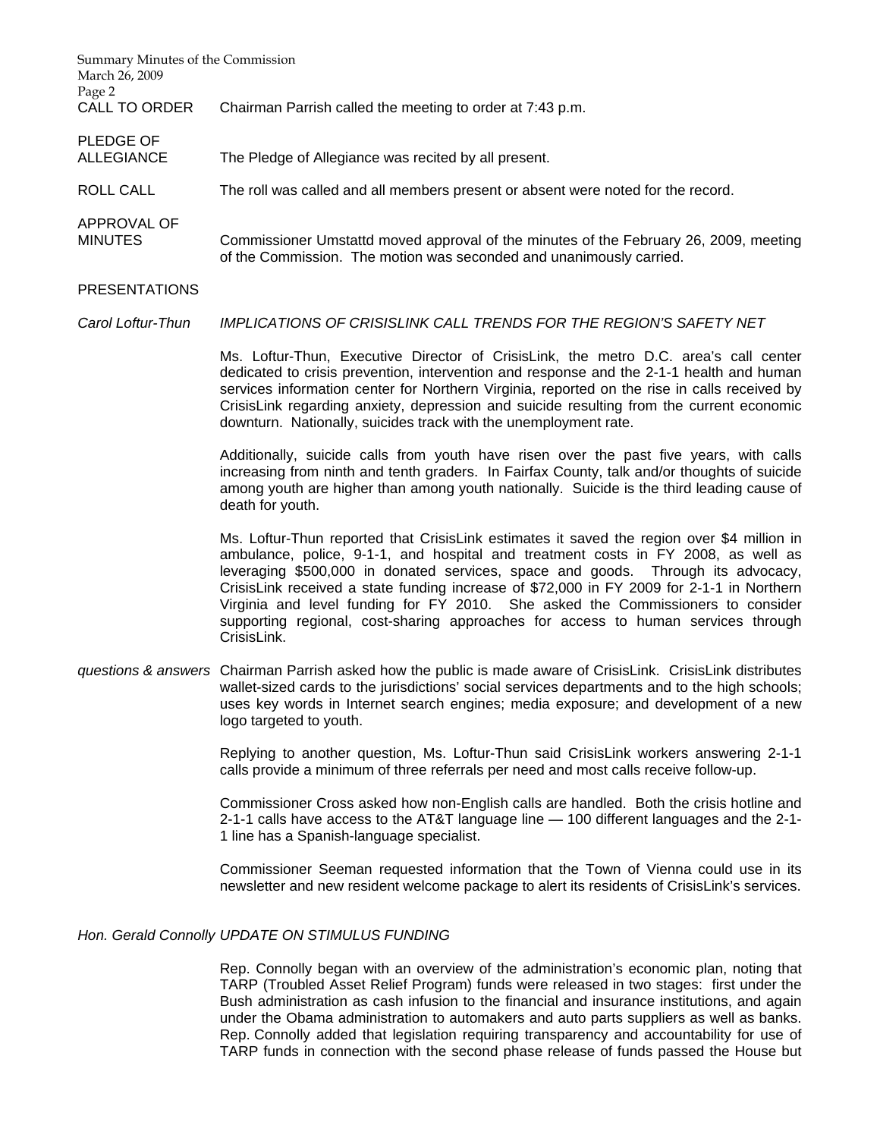| Summary Minutes of the Commission<br>March 26, 2009 |                                                                                                                                                              |
|-----------------------------------------------------|--------------------------------------------------------------------------------------------------------------------------------------------------------------|
| Page 2<br><b>CALL TO ORDER</b>                      | Chairman Parrish called the meeting to order at 7:43 p.m.                                                                                                    |
| PLEDGE OF<br><b>ALLEGIANCE</b>                      | The Pledge of Allegiance was recited by all present.                                                                                                         |
| ROLL CALL                                           | The roll was called and all members present or absent were noted for the record.                                                                             |
| APPROVAL OF<br><b>MINUTES</b>                       | Commissioner Umstattd moved approval of the minutes of the February 26, 2009, meeting<br>of the Commission. The motion was seconded and unanimously carried. |
| <b>PRESENTATIONS</b>                                |                                                                                                                                                              |
| Carol Loftur-Thun                                   | IMPLICATIONS OF CRISISLINK CALL TRENDS FOR THE REGION'S SAFETY NET                                                                                           |

Ms. Loftur-Thun, Executive Director of CrisisLink, the metro D.C. area's call center dedicated to crisis prevention, intervention and response and the 2-1-1 health and human services information center for Northern Virginia, reported on the rise in calls received by CrisisLink regarding anxiety, depression and suicide resulting from the current economic downturn. Nationally, suicides track with the unemployment rate.

Additionally, suicide calls from youth have risen over the past five years, with calls increasing from ninth and tenth graders. In Fairfax County, talk and/or thoughts of suicide among youth are higher than among youth nationally. Suicide is the third leading cause of death for youth.

Ms. Loftur-Thun reported that CrisisLink estimates it saved the region over \$4 million in ambulance, police, 9-1-1, and hospital and treatment costs in FY 2008, as well as leveraging \$500,000 in donated services, space and goods. Through its advocacy, CrisisLink received a state funding increase of \$72,000 in FY 2009 for 2-1-1 in Northern Virginia and level funding for FY 2010. She asked the Commissioners to consider supporting regional, cost-sharing approaches for access to human services through CrisisLink.

*questions & answers* Chairman Parrish asked how the public is made aware of CrisisLink. CrisisLink distributes wallet-sized cards to the jurisdictions' social services departments and to the high schools; uses key words in Internet search engines; media exposure; and development of a new logo targeted to youth.

> Replying to another question, Ms. Loftur-Thun said CrisisLink workers answering 2-1-1 calls provide a minimum of three referrals per need and most calls receive follow-up.

> Commissioner Cross asked how non-English calls are handled. Both the crisis hotline and 2-1-1 calls have access to the AT&T language line — 100 different languages and the 2-1- 1 line has a Spanish-language specialist.

> Commissioner Seeman requested information that the Town of Vienna could use in its newsletter and new resident welcome package to alert its residents of CrisisLink's services.

### *Hon. Gerald Connolly UPDATE ON STIMULUS FUNDING*

Rep. Connolly began with an overview of the administration's economic plan, noting that TARP (Troubled Asset Relief Program) funds were released in two stages: first under the Bush administration as cash infusion to the financial and insurance institutions, and again under the Obama administration to automakers and auto parts suppliers as well as banks. Rep. Connolly added that legislation requiring transparency and accountability for use of TARP funds in connection with the second phase release of funds passed the House but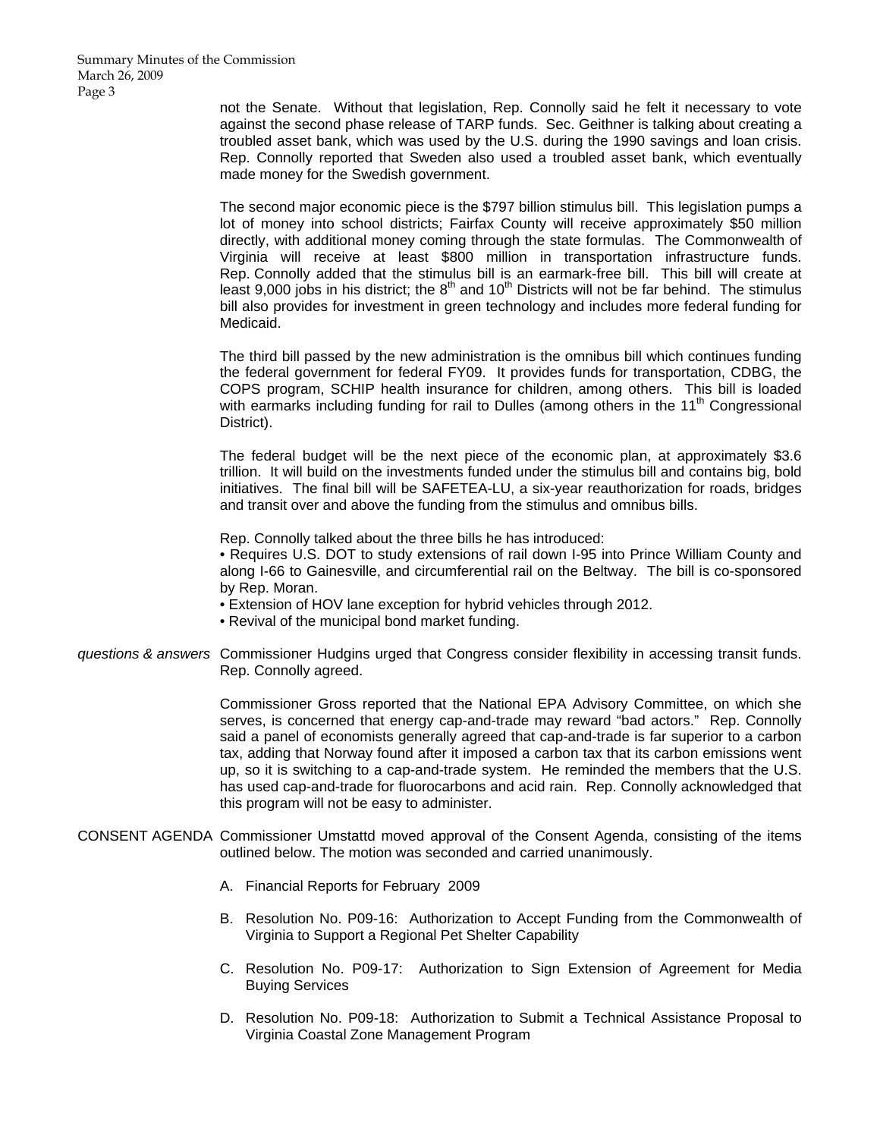not the Senate. Without that legislation, Rep. Connolly said he felt it necessary to vote against the second phase release of TARP funds. Sec. Geithner is talking about creating a troubled asset bank, which was used by the U.S. during the 1990 savings and loan crisis. Rep. Connolly reported that Sweden also used a troubled asset bank, which eventually made money for the Swedish government.

The second major economic piece is the \$797 billion stimulus bill. This legislation pumps a lot of money into school districts; Fairfax County will receive approximately \$50 million directly, with additional money coming through the state formulas. The Commonwealth of Virginia will receive at least \$800 million in transportation infrastructure funds. Rep. Connolly added that the stimulus bill is an earmark-free bill. This bill will create at least 9,000 jobs in his district; the  $8<sup>th</sup>$  and 10<sup>th</sup> Districts will not be far behind. The stimulus bill also provides for investment in green technology and includes more federal funding for Medicaid.

The third bill passed by the new administration is the omnibus bill which continues funding the federal government for federal FY09. It provides funds for transportation, CDBG, the COPS program, SCHIP health insurance for children, among others. This bill is loaded with earmarks including funding for rail to Dulles (among others in the  $11<sup>th</sup>$  Congressional District).

The federal budget will be the next piece of the economic plan, at approximately \$3.6 trillion. It will build on the investments funded under the stimulus bill and contains big, bold initiatives. The final bill will be SAFETEA-LU, a six-year reauthorization for roads, bridges and transit over and above the funding from the stimulus and omnibus bills.

Rep. Connolly talked about the three bills he has introduced:

• Requires U.S. DOT to study extensions of rail down I-95 into Prince William County and along I-66 to Gainesville, and circumferential rail on the Beltway. The bill is co-sponsored by Rep. Moran.

- Extension of HOV lane exception for hybrid vehicles through 2012.
- Revival of the municipal bond market funding.
- *questions & answers* Commissioner Hudgins urged that Congress consider flexibility in accessing transit funds. Rep. Connolly agreed.

Commissioner Gross reported that the National EPA Advisory Committee, on which she serves, is concerned that energy cap-and-trade may reward "bad actors." Rep. Connolly said a panel of economists generally agreed that cap-and-trade is far superior to a carbon tax, adding that Norway found after it imposed a carbon tax that its carbon emissions went up, so it is switching to a cap-and-trade system. He reminded the members that the U.S. has used cap-and-trade for fluorocarbons and acid rain. Rep. Connolly acknowledged that this program will not be easy to administer.

- CONSENT AGENDA Commissioner Umstattd moved approval of the Consent Agenda, consisting of the items outlined below. The motion was seconded and carried unanimously.
	- A. Financial Reports for February 2009
	- B. Resolution No. P09-16: Authorization to Accept Funding from the Commonwealth of Virginia to Support a Regional Pet Shelter Capability
	- C. Resolution No. P09-17: Authorization to Sign Extension of Agreement for Media Buying Services
	- D. Resolution No. P09-18: Authorization to Submit a Technical Assistance Proposal to Virginia Coastal Zone Management Program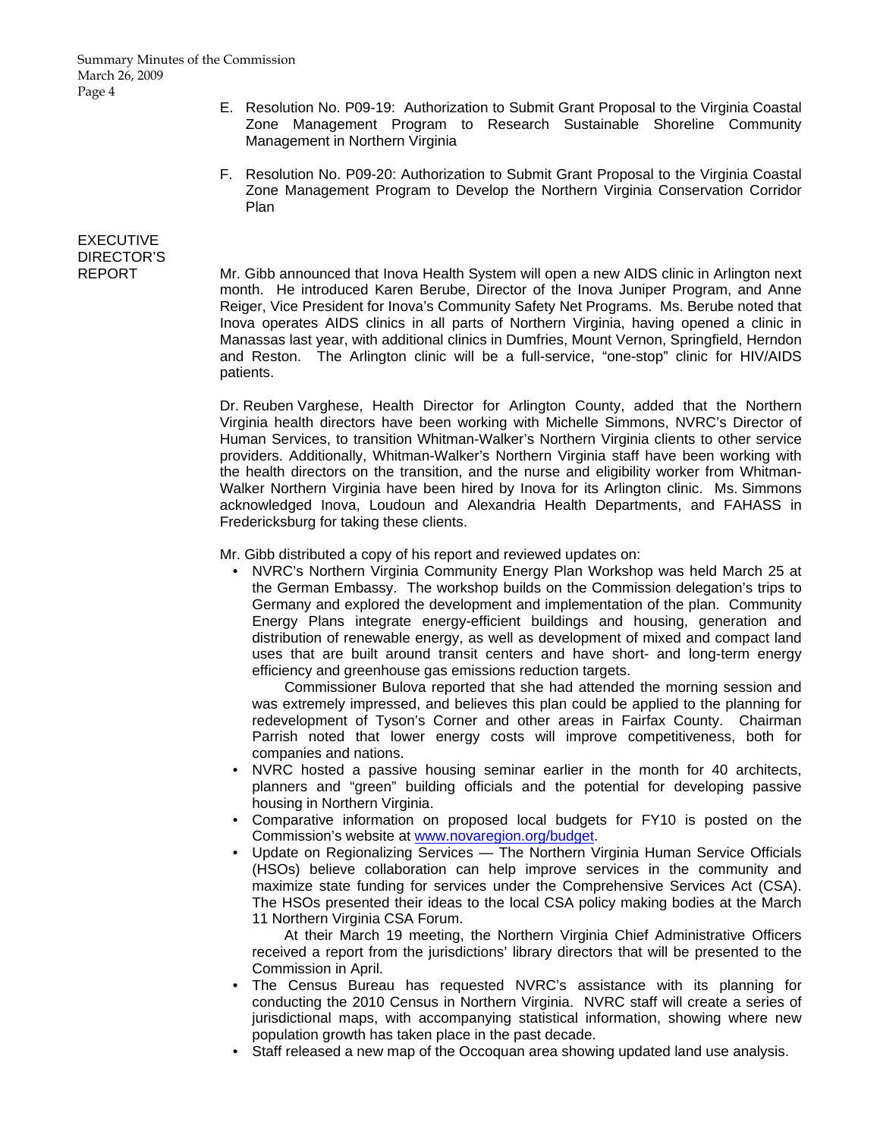- E. Resolution No. P09-19: Authorization to Submit Grant Proposal to the Virginia Coastal Zone Management Program to Research Sustainable Shoreline Community Management in Northern Virginia
- F. Resolution No. P09-20: Authorization to Submit Grant Proposal to the Virginia Coastal Zone Management Program to Develop the Northern Virginia Conservation Corridor Plan

# EXECUTIVE DIRECTOR'S

REPORT Mr. Gibb announced that Inova Health System will open a new AIDS clinic in Arlington next month. He introduced Karen Berube, Director of the Inova Juniper Program, and Anne Reiger, Vice President for Inova's Community Safety Net Programs. Ms. Berube noted that Inova operates AIDS clinics in all parts of Northern Virginia, having opened a clinic in Manassas last year, with additional clinics in Dumfries, Mount Vernon, Springfield, Herndon and Reston. The Arlington clinic will be a full-service, "one-stop" clinic for HIV/AIDS patients.

> Dr. Reuben Varghese, Health Director for Arlington County, added that the Northern Virginia health directors have been working with Michelle Simmons, NVRC's Director of Human Services, to transition Whitman-Walker's Northern Virginia clients to other service providers. Additionally, Whitman-Walker's Northern Virginia staff have been working with the health directors on the transition, and the nurse and eligibility worker from Whitman-Walker Northern Virginia have been hired by Inova for its Arlington clinic. Ms. Simmons acknowledged Inova, Loudoun and Alexandria Health Departments, and FAHASS in Fredericksburg for taking these clients.

Mr. Gibb distributed a copy of his report and reviewed updates on:

• NVRC's Northern Virginia Community Energy Plan Workshop was held March 25 at the German Embassy. The workshop builds on the Commission delegation's trips to Germany and explored the development and implementation of the plan. Community Energy Plans integrate energy-efficient buildings and housing, generation and distribution of renewable energy, as well as development of mixed and compact land uses that are built around transit centers and have short- and long-term energy efficiency and greenhouse gas emissions reduction targets.

 Commissioner Bulova reported that she had attended the morning session and was extremely impressed, and believes this plan could be applied to the planning for redevelopment of Tyson's Corner and other areas in Fairfax County. Chairman Parrish noted that lower energy costs will improve competitiveness, both for companies and nations.

- NVRC hosted a passive housing seminar earlier in the month for 40 architects, planners and "green" building officials and the potential for developing passive housing in Northern Virginia.
- Comparative information on proposed local budgets for FY10 is posted on the Commission's website at [www.novaregion.org/budget](http://www.novaregion.org/budget).
- Update on Regionalizing Services The Northern Virginia Human Service Officials (HSOs) believe collaboration can help improve services in the community and maximize state funding for services under the Comprehensive Services Act (CSA). The HSOs presented their ideas to the local CSA policy making bodies at the March 11 Northern Virginia CSA Forum.

 At their March 19 meeting, the Northern Virginia Chief Administrative Officers received a report from the jurisdictions' library directors that will be presented to the Commission in April.

- The Census Bureau has requested NVRC's assistance with its planning for conducting the 2010 Census in Northern Virginia. NVRC staff will create a series of jurisdictional maps, with accompanying statistical information, showing where new population growth has taken place in the past decade.
- Staff released a new map of the Occoquan area showing updated land use analysis.